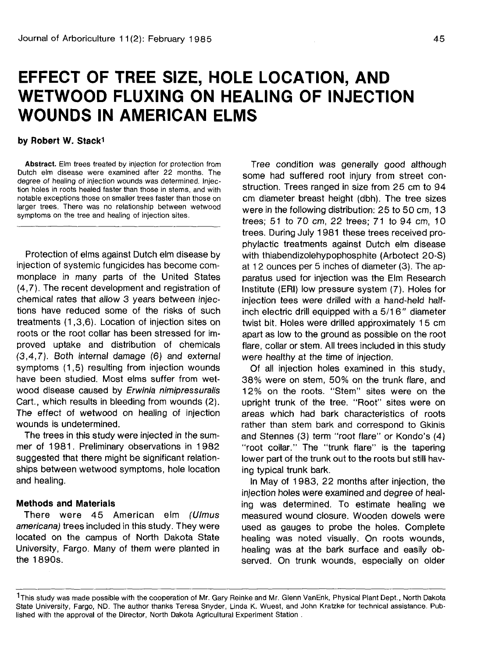# **EFFECT OF TREE SIZE, HOLE LOCATION, AND WETWOOD FLUXING ON HEALING OF INJECTION WOUNDS IN AMERICAN ELMS**

#### **by Robert W. Stacki**

**Abstract.** Elm trees treated by injection for protection from Dutch elm disease were examined after 22 months. The degree of healing of injection wounds was determined. Injection holes in roots healed faster than those in stems, and with notable exceptions those on smaller trees faster than those on larger trees. There was no relationship between wetwood symptoms on the tree and healing of injection sites.

Protection of elms against Dutch elm disease by injection of systemic fungicides has become commonplace in many parts of the United States (4,7). The recent development and registration of chemical rates that allow 3 years between injections have reduced some of the risks of such treatments (1,3,6). Location of injection sites on roots or the root collar has been stressed for improved uptake and distribution of chemicals (3,4,7). Both internal damage (6) and external symptoms (1,5) resulting from injection wounds have been studied. Most elms suffer from wetwood disease caused by Erwinia nimipressuralis Cart., which results in bleeding from wounds (2). The effect of wetwood on healing of injection wounds is undetermined.

The trees in this study were injected in the summer of 1981. Preliminary observations in 1982 suggested that there might be significant relationships between wetwood symptoms, hole location and healing.

### **Methods and Materials**

There were 45 American elm (Ulmus americana) trees included in this study. They were located on the campus of North Dakota State University, Fargo. Many of them were planted in the 1890s.

Tree condition was generally good although some had suffered root injury from street construction. Trees ranged in size from 25 cm to 94 cm diameter breast height (dbh). The tree sizes were in the following distribution: 25 to 50 cm, 13 trees; 51 to 70 cm, 22 trees; 71 to 94 cm, 10 trees. During July 1981 these trees received prophylactic treatments against Dutch elm disease with thiabendizolehypophosphite (Arbotect 20-S) at 12 ounces per 5 inches of diameter (3). The apparatus used for injection was the Elm Research Institute (ERI) low pressure system (7). Holes for injection tees were drilled with a hand-held halfinch electric drill equipped with a 5/16" diameter twist bit. Holes were drilled approximately 15 cm apart as low to the ground as possible on the root flare, collar or stem. All trees included in this study were healthy at the time of injection.

Of all injection holes examined in this study, 38% were on stem, 50% on the trunk flare, and 12% on the roots. "Stem" sites were on the upright trunk of the tree. "Root" sites were on areas which had bark characteristics of roots rather than stem bark and correspond to Gkinis and Stennes (3) term "root flare" or Kondo's (4) "root collar." The "trunk flare" is the tapering lower part of the trunk out to the roots but still having typical trunk bark.

In May of 1983, 22 months after injection, the injection holes were examined and degree of healing was determined. To estimate healing we measured wound closure. Wooden dowels were used as gauges to probe the holes. Complete healing was noted visually. On roots wounds, healing was at the bark surface and easily observed. On trunk wounds, especially on older

<sup>&</sup>lt;sup>1</sup>This study was made possible with the cooperation of Mr. Gary Reinke and Mr. Glenn VanEnk, Physical Plant Dept., North Dakota State University, Fargo, ND. The author thanks Teresa Snyder, Linda K. Wuest, and John Kratzke for technical assistance. Published with the approval of the Director, North Dakota Agricultural Experiment Station .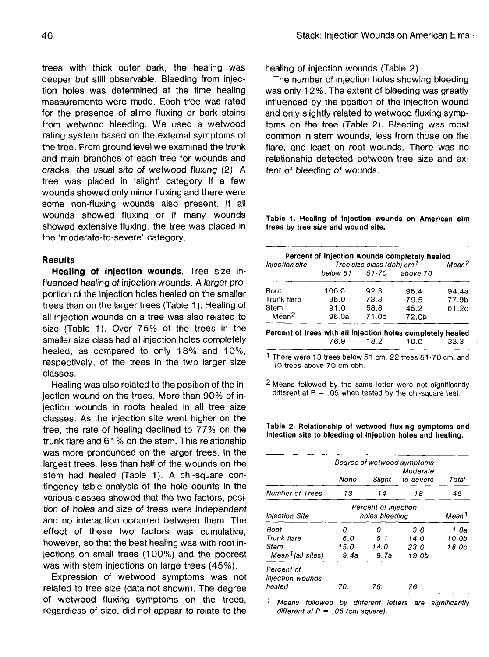trees with thick outer bark, the healing was deeper but still observable. Bleeding from injection holes was determined at the time healing measurements were made. Each tree was rated for the presence of slime fluxing or bark stains from wetwood bleeding. We used a wetwood rating system based on the external symptoms of the tree. From ground level we examined the trunk and main branches of each tree for wounds and cracks, the usual site of wetwood fluxing (2). A tree was placed in 'slight' category if a few wounds showed only minor fluxing and there were some non-fluxing wounds also present. If all wounds showed fluxing or if many wounds showed extensive fluxing, the tree was placed in the 'moderate-to-severe' category.

# **Results**

**Healing of injection wounds.** Tree size influenced healing of injection wounds. A larger proportion of the injection holes healed on the smaller trees than on the larger trees (Table 1). Healing of all injection wounds on a tree was also related to size (Table 1). Over 75% of the trees in the smaller size class had all injection holes completely healed, as compared to only 18% and 10%, respectively, of the trees in the two larger size classes.

Healing was also related to the position of the injection wound on the trees. More than 90% of injection wounds in roots healed in all tree size classes. As the injection site went higher on the tree, the rate of healing declined to 77% on the trunk flare and 61 % on the stem. This relationship was more pronounced on the larger trees. In the largest trees, less than half of the wounds on the stem had healed (Table 1). A chi-square contingency table analysis of the hole counts in the various classes showed that the two factors, position of holes and size of trees were independent and no interaction occurred between them. The effect of these two factors was cumulative, however, so that the best healing was with root injections on small trees (100%) and the poorest was with stem injections on large trees (45%).

Expression of wetwood symptoms was not related to tree size (data not shown). The degree of wetwood fluxing symptoms on the trees, regardless of size, did not appear to relate to the

healing of injection wounds (Table 2).

The number of injection holes showing bleeding was only 12%. The extent of bleeding was greatly influenced by the position of the injection wound and only slightly related to wetwood fluxing symptoms on the tree (Table 2). Bleeding was most common in stem wounds, less from those on the flare, and least on root wounds. There was no relationship detected between tree size and extent of bleeding of wounds.

**Table -1. Healing of injection wounds on American elm trees by tree size and wound site.**

| Injection site    | Percent of injection wounds completely healed<br>Tree size class (dbh) cm <sup>1</sup> |       |          | Mean <sup>2</sup> |
|-------------------|----------------------------------------------------------------------------------------|-------|----------|-------------------|
|                   | below 51 51-70                                                                         |       | above 70 |                   |
| Root              | 100.0                                                                                  | 92.3  | 95.4     | 94.4a             |
| Trunk flare       | 96.0                                                                                   | 73.3  | 79.5     | 77.9b             |
| Stem              | 91.0                                                                                   | 58.8  | 45.2     | 61.2c             |
| Mean <sup>2</sup> | 96.0a                                                                                  | 71.0b | 72.0b    |                   |

**Percent of trees with all injection holes completely healed** 76.9 18.2 10.0 33.3

1 There were 13 trees below 51 cm, 22 trees 51-70 cm, and 10 trees above 70 cm dbh.

2 Means followed by the same letter were not significantly different at  $P = 0.05$  when tested by the chi-square test.

**Table 2. Relationship of wetwood fluxing symptoms and injection site to bleeding of injection holes and healing.**

|                                | Degree of wetwood symptoms |                |                       |       |  |
|--------------------------------|----------------------------|----------------|-----------------------|-------|--|
|                                | None                       | Sliaht         | Moderate<br>to severe | Total |  |
| <b>Number of Trees</b>         | 13                         | 14             | 18                    | 45    |  |
| Injection Site                 | Percent of injection       | Mean 1         |                       |       |  |
|                                |                            | holes bleedina |                       |       |  |
| Root                           | Ω                          | n              | 3.0                   | 1.8a  |  |
| Trunk flare                    | 6.0                        | 5.1            | 14.0                  | 10.0b |  |
| Stem                           | 15.0                       | 14.0           | 23.0                  | 18.Oc |  |
| Mean <sup>1</sup> (all sites)  | 9.4a                       | 9.7a           | 19.0b                 |       |  |
| Percent of<br>injection wounds |                            |                |                       |       |  |
| healea                         | 70.                        | 76.            | 76.                   |       |  |

1. Means followed by different letters are significantly different at  $P = .05$  (chi square).